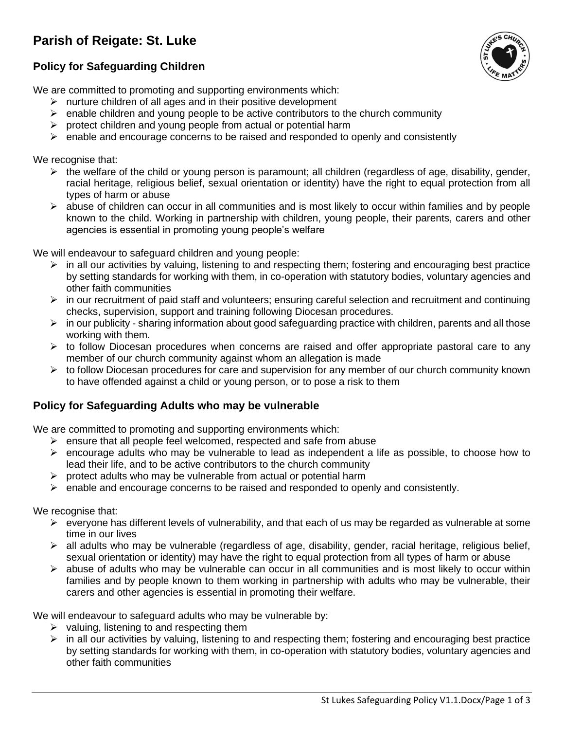# **Parish of Reigate: St. Luke**





We are committed to promoting and supporting environments which:

- $\triangleright$  nurture children of all ages and in their positive development
- $\triangleright$  enable children and young people to be active contributors to the church community
- $\triangleright$  protect children and young people from actual or potential harm
- $\triangleright$  enable and encourage concerns to be raised and responded to openly and consistently

We recognise that:

- $\triangleright$  the welfare of the child or young person is paramount; all children (regardless of age, disability, gender, racial heritage, religious belief, sexual orientation or identity) have the right to equal protection from all types of harm or abuse
- $\triangleright$  abuse of children can occur in all communities and is most likely to occur within families and by people known to the child. Working in partnership with children, young people, their parents, carers and other agencies is essential in promoting young people's welfare

We will endeavour to safeguard children and young people:

- ➢ in all our activities by valuing, listening to and respecting them; fostering and encouraging best practice by setting standards for working with them, in co-operation with statutory bodies, voluntary agencies and other faith communities
- $\triangleright$  in our recruitment of paid staff and volunteers; ensuring careful selection and recruitment and continuing checks, supervision, support and training following Diocesan procedures.
- $\triangleright$  in our publicity sharing information about good safeguarding practice with children, parents and all those working with them.
- $\triangleright$  to follow Diocesan procedures when concerns are raised and offer appropriate pastoral care to any member of our church community against whom an allegation is made
- $\triangleright$  to follow Diocesan procedures for care and supervision for any member of our church community known to have offended against a child or young person, or to pose a risk to them

### **Policy for Safeguarding Adults who may be vulnerable**

We are committed to promoting and supporting environments which:

- $\triangleright$  ensure that all people feel welcomed, respected and safe from abuse
- $\triangleright$  encourage adults who may be vulnerable to lead as independent a life as possible, to choose how to lead their life, and to be active contributors to the church community
- $\triangleright$  protect adults who may be vulnerable from actual or potential harm
- $\triangleright$  enable and encourage concerns to be raised and responded to openly and consistently.

We recognise that:

- $\triangleright$  everyone has different levels of vulnerability, and that each of us may be regarded as vulnerable at some time in our lives
- $\triangleright$  all adults who may be vulnerable (regardless of age, disability, gender, racial heritage, religious belief, sexual orientation or identity) may have the right to equal protection from all types of harm or abuse
- $\triangleright$  abuse of adults who may be vulnerable can occur in all communities and is most likely to occur within families and by people known to them working in partnership with adults who may be vulnerable, their carers and other agencies is essential in promoting their welfare.

We will endeavour to safeguard adults who may be vulnerable by:

- $\triangleright$  valuing, listening to and respecting them
- ➢ in all our activities by valuing, listening to and respecting them; fostering and encouraging best practice by setting standards for working with them, in co-operation with statutory bodies, voluntary agencies and other faith communities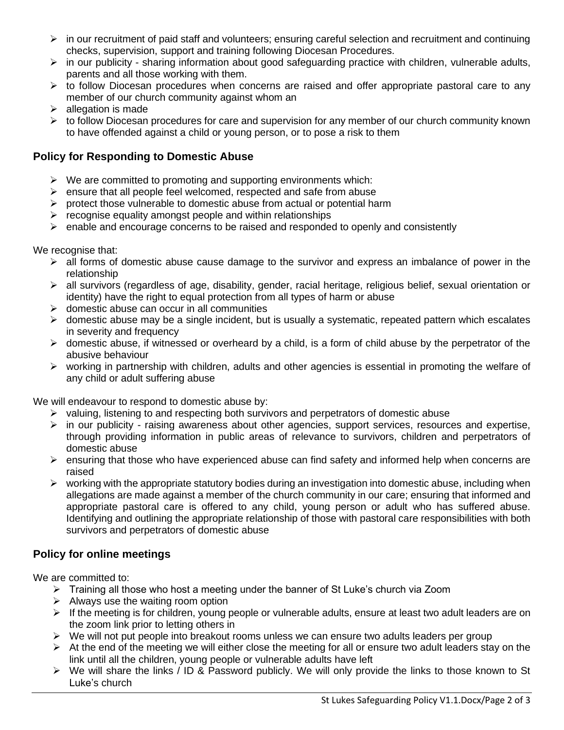- $\triangleright$  in our recruitment of paid staff and volunteers; ensuring careful selection and recruitment and continuing checks, supervision, support and training following Diocesan Procedures.
- $\triangleright$  in our publicity sharing information about good safeguarding practice with children, vulnerable adults, parents and all those working with them.
- ➢ to follow Diocesan procedures when concerns are raised and offer appropriate pastoral care to any member of our church community against whom an
- $\triangleright$  allegation is made
- $\triangleright$  to follow Diocesan procedures for care and supervision for any member of our church community known to have offended against a child or young person, or to pose a risk to them

## **Policy for Responding to Domestic Abuse**

- $\triangleright$  We are committed to promoting and supporting environments which:
- $\triangleright$  ensure that all people feel welcomed, respected and safe from abuse
- ➢ protect those vulnerable to domestic abuse from actual or potential harm
- $\triangleright$  recognise equality amongst people and within relationships
- $\triangleright$  enable and encourage concerns to be raised and responded to openly and consistently

We recognise that:

- $\triangleright$  all forms of domestic abuse cause damage to the survivor and express an imbalance of power in the relationship
- ➢ all survivors (regardless of age, disability, gender, racial heritage, religious belief, sexual orientation or identity) have the right to equal protection from all types of harm or abuse
- $\triangleright$  domestic abuse can occur in all communities
- ➢ domestic abuse may be a single incident, but is usually a systematic, repeated pattern which escalates in severity and frequency
- $\triangleright$  domestic abuse, if witnessed or overheard by a child, is a form of child abuse by the perpetrator of the abusive behaviour
- $\triangleright$  working in partnership with children, adults and other agencies is essential in promoting the welfare of any child or adult suffering abuse

We will endeavour to respond to domestic abuse by:

- $\triangleright$  valuing, listening to and respecting both survivors and perpetrators of domestic abuse
- $\triangleright$  in our publicity raising awareness about other agencies, support services, resources and expertise, through providing information in public areas of relevance to survivors, children and perpetrators of domestic abuse
- $\triangleright$  ensuring that those who have experienced abuse can find safety and informed help when concerns are raised
- $\triangleright$  working with the appropriate statutory bodies during an investigation into domestic abuse, including when allegations are made against a member of the church community in our care; ensuring that informed and appropriate pastoral care is offered to any child, young person or adult who has suffered abuse. Identifying and outlining the appropriate relationship of those with pastoral care responsibilities with both survivors and perpetrators of domestic abuse

# **Policy for online meetings**

We are committed to:

- $\triangleright$  Training all those who host a meeting under the banner of St Luke's church via Zoom
- $\triangleright$  Always use the waiting room option
- $\triangleright$  If the meeting is for children, young people or vulnerable adults, ensure at least two adult leaders are on the zoom link prior to letting others in
- $\triangleright$  We will not put people into breakout rooms unless we can ensure two adults leaders per group
- $\triangleright$  At the end of the meeting we will either close the meeting for all or ensure two adult leaders stay on the link until all the children, young people or vulnerable adults have left
- ➢ We will share the links / ID & Password publicly. We will only provide the links to those known to St Luke's church